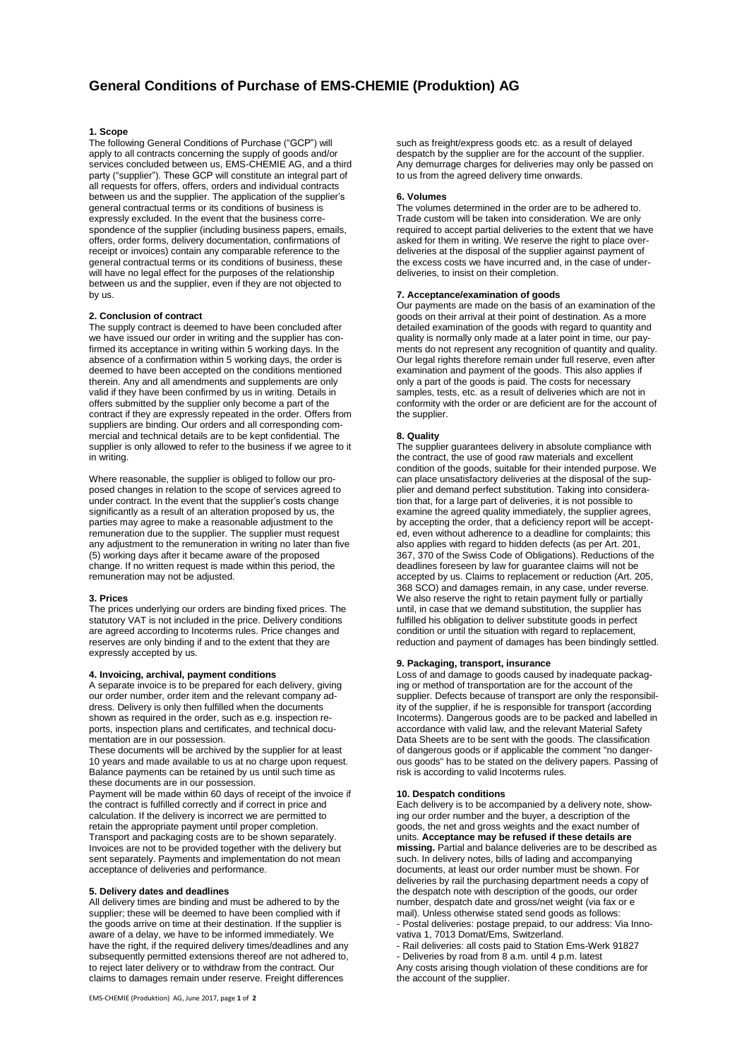# **1. Scope**

The following General Conditions of Purchase ("GCP") will apply to all contracts concerning the supply of goods and/or services concluded between us, EMS-CHEMIE AG, and a third party ("supplier"). These GCP will constitute an integral part of all requests for offers, offers, orders and individual contracts between us and the supplier. The application of the supplier's general contractual terms or its conditions of business is expressly excluded. In the event that the business correspondence of the supplier (including business papers, emails, offers, order forms, delivery documentation, confirmations of receipt or invoices) contain any comparable reference to the general contractual terms or its conditions of business, these will have no legal effect for the purposes of the relationship between us and the supplier, even if they are not objected to by us.

## **2. Conclusion of contract**

The supply contract is deemed to have been concluded after we have issued our order in writing and the supplier has confirmed its acceptance in writing within 5 working days. In the absence of a confirmation within 5 working days, the order is deemed to have been accepted on the conditions mentioned therein. Any and all amendments and supplements are only valid if they have been confirmed by us in writing. Details in offers submitted by the supplier only become a part of the contract if they are expressly repeated in the order. Offers from suppliers are binding. Our orders and all corresponding commercial and technical details are to be kept confidential. The supplier is only allowed to refer to the business if we agree to it in writing.

Where reasonable, the supplier is obliged to follow our proposed changes in relation to the scope of services agreed to under contract. In the event that the supplier's costs change significantly as a result of an alteration proposed by us, the parties may agree to make a reasonable adjustment to the remuneration due to the supplier. The supplier must request any adjustment to the remuneration in writing no later than five (5) working days after it became aware of the proposed change. If no written request is made within this period, the remuneration may not be adjusted.

#### **3. Prices**

The prices underlying our orders are binding fixed prices. The statutory VAT is not included in the price. Delivery conditions are agreed according to Incoterms rules. Price changes and reserves are only binding if and to the extent that they are expressly accepted by us.

#### **4. Invoicing, archival, payment conditions**

A separate invoice is to be prepared for each delivery, giving our order number, order item and the relevant company address. Delivery is only then fulfilled when the documents shown as required in the order, such as e.g. inspection reports, inspection plans and certificates, and technical documentation are in our possession.

These documents will be archived by the supplier for at least 10 years and made available to us at no charge upon request. Balance payments can be retained by us until such time as these documents are in our possession.

Payment will be made within 60 days of receipt of the invoice if the contract is fulfilled correctly and if correct in price and calculation. If the delivery is incorrect we are permitted to retain the appropriate payment until proper completion. Transport and packaging costs are to be shown separately. Invoices are not to be provided together with the delivery but sent separately. Payments and implementation do not mean acceptance of deliveries and performance.

### **5. Delivery dates and deadlines**

All delivery times are binding and must be adhered to by the supplier; these will be deemed to have been complied with if the goods arrive on time at their destination. If the supplier is aware of a delay, we have to be informed immediately. We have the right, if the required delivery times/deadlines and any subsequently permitted extensions thereof are not adhered to, to reject later delivery or to withdraw from the contract. Our claims to damages remain under reserve. Freight differences

such as freight/express goods etc. as a result of delayed despatch by the supplier are for the account of the supplier. Any demurrage charges for deliveries may only be passed on to us from the agreed delivery time onwards.

#### **6. Volumes**

The volumes determined in the order are to be adhered to. Trade custom will be taken into consideration. We are only required to accept partial deliveries to the extent that we have asked for them in writing. We reserve the right to place overdeliveries at the disposal of the supplier against payment of the excess costs we have incurred and, in the case of underdeliveries, to insist on their completion.

# **7. Acceptance/examination of goods**

Our payments are made on the basis of an examination of the goods on their arrival at their point of destination. As a more detailed examination of the goods with regard to quantity and quality is normally only made at a later point in time, our payments do not represent any recognition of quantity and quality. Our legal rights therefore remain under full reserve, even after examination and payment of the goods. This also applies if only a part of the goods is paid. The costs for necessary samples, tests, etc. as a result of deliveries which are not in conformity with the order or are deficient are for the account of the supplier.

## **8. Quality**

The supplier guarantees delivery in absolute compliance with the contract, the use of good raw materials and excellent condition of the goods, suitable for their intended purpose. We can place unsatisfactory deliveries at the disposal of the supplier and demand perfect substitution. Taking into consideration that, for a large part of deliveries, it is not possible to examine the agreed quality immediately, the supplier agrees, by accepting the order, that a deficiency report will be accepted, even without adherence to a deadline for complaints; this also applies with regard to hidden defects (as per Art. 201, 367, 370 of the Swiss Code of Obligations). Reductions of the deadlines foreseen by law for guarantee claims will not be accepted by us. Claims to replacement or reduction (Art. 205, 368 SCO) and damages remain, in any case, under reverse. We also reserve the right to retain payment fully or partially until, in case that we demand substitution, the supplier has fulfilled his obligation to deliver substitute goods in perfect condition or until the situation with regard to replacement, reduction and payment of damages has been bindingly settled.

#### **9. Packaging, transport, insurance**

Loss of and damage to goods caused by inadequate packaging or method of transportation are for the account of the supplier. Defects because of transport are only the responsibility of the supplier, if he is responsible for transport (according Incoterms). Dangerous goods are to be packed and labelled in accordance with valid law, and the relevant Material Safety Data Sheets are to be sent with the goods. The classification of dangerous goods or if applicable the comment "no dangerous goods" has to be stated on the delivery papers. Passing of risk is according to valid Incoterms rules.

### **10. Despatch conditions**

Each delivery is to be accompanied by a delivery note, showing our order number and the buyer, a description of the goods, the net and gross weights and the exact number of units. **Acceptance may be refused if these details are missing.** Partial and balance deliveries are to be described as such. In delivery notes, bills of lading and accompanying documents, at least our order number must be shown. For deliveries by rail the purchasing department needs a copy of the despatch note with description of the goods, our order number, despatch date and gross/net weight (via fax or e mail). Unless otherwise stated send goods as follows: - Postal deliveries: postage prepaid, to our address: Via Innovativa 1, 7013 Domat/Ems, Switzerland.

- Rail deliveries: all costs paid to Station Ems-Werk 91827 - Deliveries by road from 8 a.m. until 4 p.m. latest Any costs arising though violation of these conditions are for the account of the supplier.